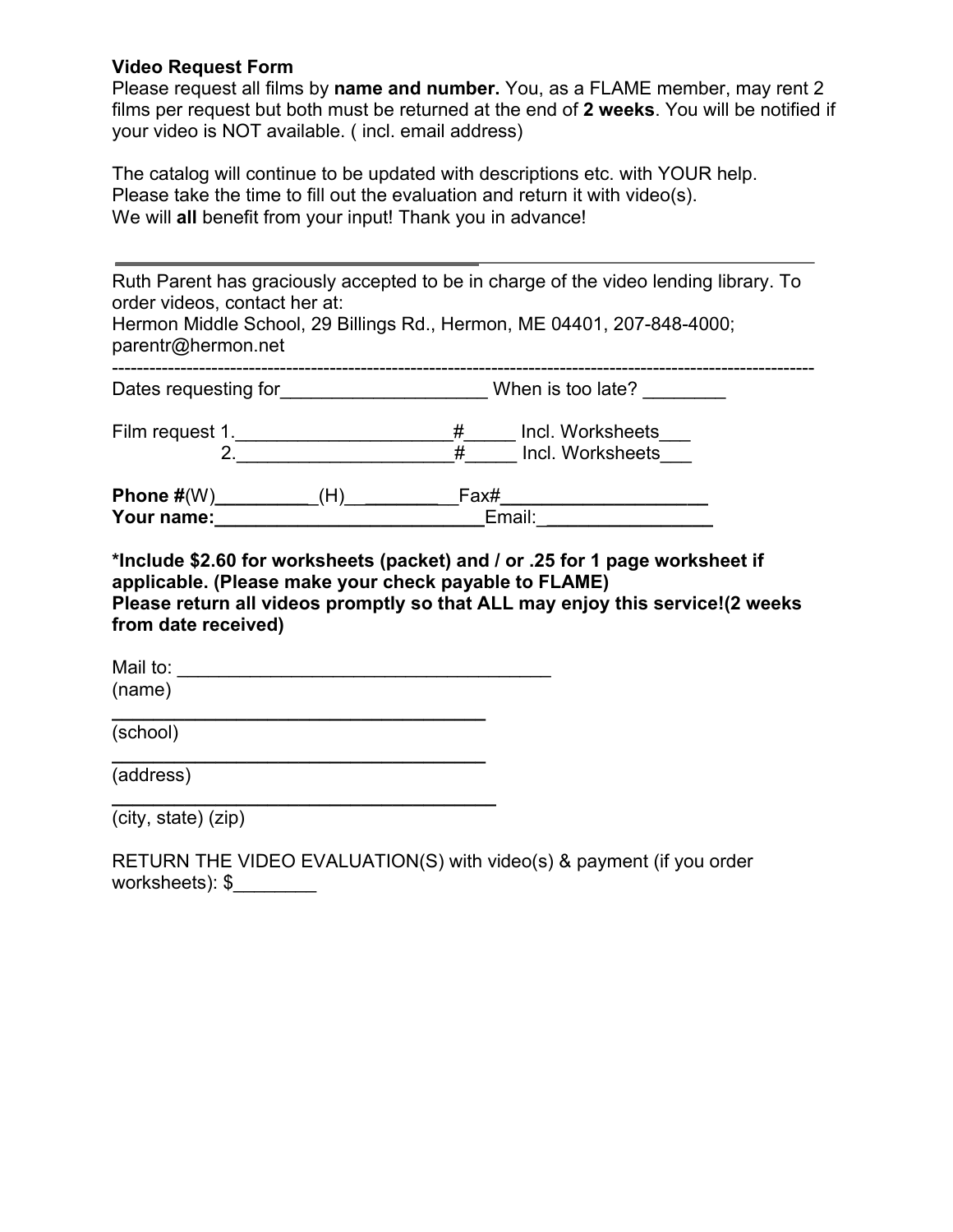## **Video Request Form**

Please request all films by **name and number.** You, as a FLAME member, may rent 2 films per request but both must be returned at the end of **2 weeks**. You will be notified if your video is NOT available. ( incl. email address)

The catalog will continue to be updated with descriptions etc. with YOUR help. Please take the time to fill out the evaluation and return it with video(s). We will **all** benefit from your input! Thank you in advance!

| order videos, contact her at:<br>parentr@hermon.net                          |                                                           | Ruth Parent has graciously accepted to be in charge of the video lending library. To<br>Hermon Middle School, 29 Billings Rd., Hermon, ME 04401, 207-848-4000; |  |
|------------------------------------------------------------------------------|-----------------------------------------------------------|----------------------------------------------------------------------------------------------------------------------------------------------------------------|--|
|                                                                              |                                                           |                                                                                                                                                                |  |
|                                                                              |                                                           |                                                                                                                                                                |  |
|                                                                              |                                                           |                                                                                                                                                                |  |
|                                                                              |                                                           | *Include \$2.60 for worksheets (packet) and / or .25 for 1 page worksheet if                                                                                   |  |
| applicable. (Please make your check payable to FLAME)<br>from date received) |                                                           | Please return all videos promptly so that ALL may enjoy this service!(2 weeks                                                                                  |  |
|                                                                              |                                                           |                                                                                                                                                                |  |
| (name)                                                                       |                                                           |                                                                                                                                                                |  |
| (school)                                                                     |                                                           |                                                                                                                                                                |  |
| (address)                                                                    | <u> 1989 - Johann Barbara, martin amerikan personal (</u> |                                                                                                                                                                |  |
| (city, state) (zip)                                                          |                                                           |                                                                                                                                                                |  |
| worksheets): $\frac{1}{2}$                                                   |                                                           | RETURN THE VIDEO EVALUATION(S) with video(s) & payment (if you order                                                                                           |  |